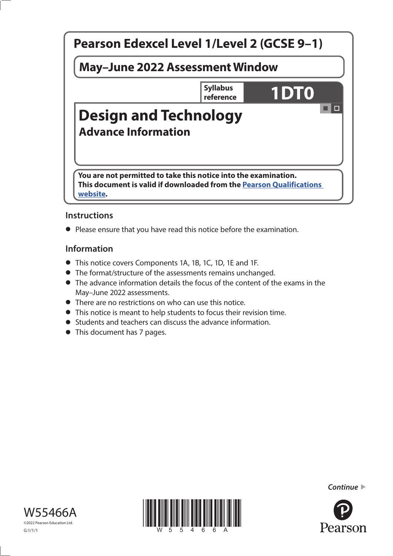

# **Instructions**

**•** Please ensure that you have read this notice before the examination.

## **Information**

- **•** This notice covers Components 1A, 1B, 1C, 1D, 1E and 1F.
- **•** The format/structure of the assessments remains unchanged.
- **•** The advance information details the focus of the content of the exams in the May–June 2022 assessments.
- **•** There are no restrictions on who can use this notice.
- **•** This notice is meant to help students to focus their revision time.
- **•** Students and teachers can discuss the advance information.
- **•** This document has 7 pages.







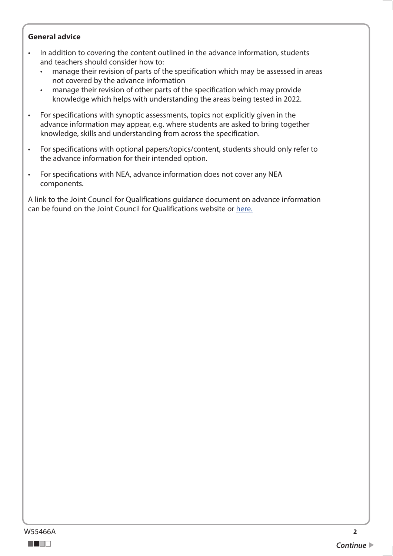#### **General advice**

- In addition to covering the content outlined in the advance information, students and teachers should consider how to:
	- manage their revision of parts of the specification which may be assessed in areas not covered by the advance information
	- manage their revision of other parts of the specification which may provide knowledge which helps with understanding the areas being tested in 2022.
- For specifications with synoptic assessments, topics not explicitly given in the advance information may appear, e.g. where students are asked to bring together knowledge, skills and understanding from across the specification.
- For specifications with optional papers/topics/content, students should only refer to the advance information for their intended option.
- For specifications with NEA, advance information does not cover any NEA components.

A link to the Joint Council for Qualifications guidance document on advance information can be found on the Joint Council for Qualifications website or [here.](https://www.jcq.org.uk/wp-content/uploads/2021/10/Advance-Information-for-General-Qualifications-2021-22.pdf)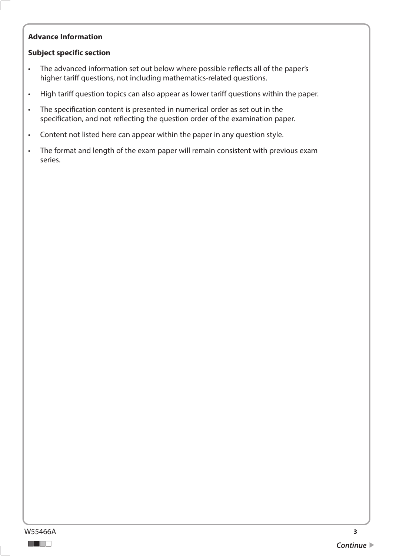## **Advance Information**

### **Subject specific section**

- The advanced information set out below where possible reflects all of the paper's higher tariff questions, not including mathematics-related questions.
- High tariff question topics can also appear as lower tariff questions within the paper.
- The specification content is presented in numerical order as set out in the specification, and not reflecting the question order of the examination paper.
- Content not listed here can appear within the paper in any question style.
- The format and length of the exam paper will remain consistent with previous exam series.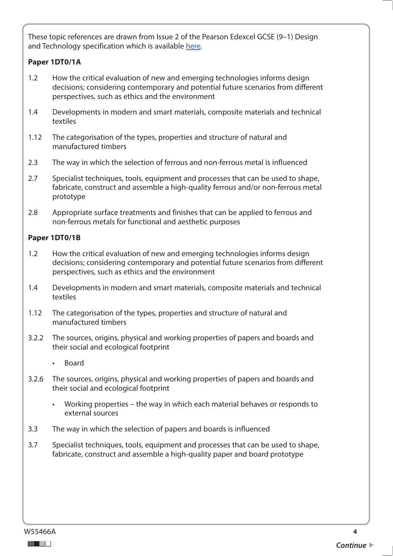These topic references are drawn from Issue 2 of the Pearson Edexcel GCSE (9–1) Design and Technology specification which is available [here.](https://qualifications.pearson.com/content/dam/pdf/GCSE/design-and-technology/2017/specification-and-sample-assessments/Specification-GCSE-L1-L2-in-Design-and-Technology.pdf)

### **Paper 1DT0/1A**

- $1.2$ How the critical evaluation of new and emerging technologies informs design decisions; considering contemporary and potential future scenarios from different perspectives, such as ethics and the environment
- $1.4$ Developments in modern and smart materials, composite materials and technical textiles
- $1.12$ The categorisation of the types, properties and structure of natural and manufactured timbers
- $2.3$ The way in which the selection of ferrous and non-ferrous metal is influenced
- $27$ Specialist techniques, tools, equipment and processes that can be used to shape, fabricate, construct and assemble a high-quality ferrous and/or non-ferrous metal prototype
- 2.8 Appropriate surface treatments and finishes that can be applied to ferrous and non-ferrous metals for functional and aesthetic purposes

### **Paper 1DT0/1B**

- $1.2$ How the critical evaluation of new and emerging technologies informs design decisions; considering contemporary and potential future scenarios from different perspectives, such as ethics and the environment
- $1.4$ Developments in modern and smart materials, composite materials and technical textiles
- $1.12$ The categorisation of the types, properties and structure of natural and manufactured timbers
- $3.2.2$ 3.2.2 The sources, origins, physical and working properties of papers and boards and their social and ecological footprint
	- Board
- $3.2.6$ The sources, origins, physical and working properties of papers and boards and their social and ecological footprint
	- Working properties the way in which each material behaves or responds to external sources
- $3.3$ The way in which the selection of papers and boards is influenced
- $3.7$ Specialist techniques, tools, equipment and processes that can be used to shape, fabricate, construct and assemble a high-quality paper and board prototype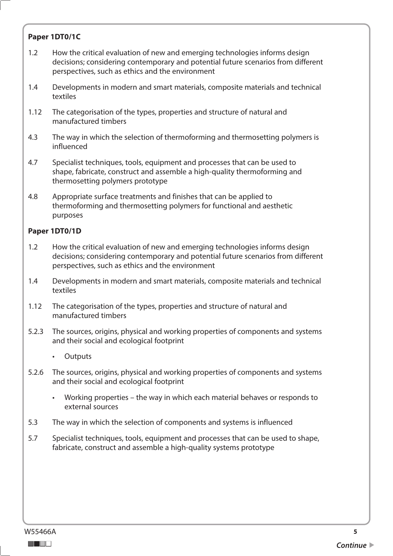## **Paper 1DT0/1C**

- $1.2$ How the critical evaluation of new and emerging technologies informs design decisions; considering contemporary and potential future scenarios from different perspectives, such as ethics and the environment
- $1.4$ 1.4 Developments in modern and smart materials, composite materials and technical textiles
- $1.12$ The categorisation of the types, properties and structure of natural and manufactured timbers
- 4.3 The way in which the selection of thermoforming and thermosetting polymers is influenced
- $4.7$ Specialist techniques, tools, equipment and processes that can be used to shape, fabricate, construct and assemble a high-quality thermoforming and thermosetting polymers prototype
- 4.8 Appropriate surface treatments and finishes that can be applied to thermoforming and thermosetting polymers for functional and aesthetic purposes

#### **Paper 1DT0/1D**

- $1.2$ How the critical evaluation of new and emerging technologies informs design decisions; considering contemporary and potential future scenarios from different perspectives, such as ethics and the environment
- $1.4$ Developments in modern and smart materials, composite materials and technical textiles
- $1.12$ The categorisation of the types, properties and structure of natural and manufactured timbers
- $5.2.3$ The sources, origins, physical and working properties of components and systems and their social and ecological footprint
	- Outputs
- $5.2.6$ The sources, origins, physical and working properties of components and systems and their social and ecological footprint
	- Working properties the way in which each material behaves or responds to external sources
- 5.3 The way in which the selection of components and systems is influenced
- 5.7 Specialist techniques, tools, equipment and processes that can be used to shape, fabricate, construct and assemble a high-quality systems prototype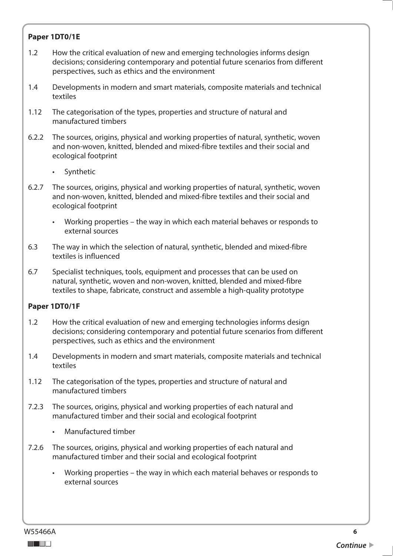## **Paper 1DT0/1E**

- $1.2$ How the critical evaluation of new and emerging technologies informs design decisions; considering contemporary and potential future scenarios from different perspectives, such as ethics and the environment
- $1.4$ 1.4 Developments in modern and smart materials, composite materials and technical textiles
- $1.12$ The categorisation of the types, properties and structure of natural and manufactured timbers
- $6.2.2$ The sources, origins, physical and working properties of natural, synthetic, woven and non-woven, knitted, blended and mixed-fibre textiles and their social and ecological footprint
	- **Synthetic**
- 6.2.7 The sources, origins, physical and working properties of natural, synthetic, woven and non-woven, knitted, blended and mixed-fibre textiles and their social and ecological footprint
	- Working properties the way in which each material behaves or responds to external sources
- 6.3 The way in which the selection of natural, synthetic, blended and mixed-fibre textiles is influenced
- 6.7 Specialist techniques, tools, equipment and processes that can be used on natural, synthetic, woven and non-woven, knitted, blended and mixed-fibre textiles to shape, fabricate, construct and assemble a high-quality prototype

### **Paper 1DT0/1F**

- $1.2$ 1.2 How the critical evaluation of new and emerging technologies informs design decisions; considering contemporary and potential future scenarios from different perspectives, such as ethics and the environment
- $1.4$ Developments in modern and smart materials, composite materials and technical textiles
- $1.12$ The categorisation of the types, properties and structure of natural and manufactured timbers
- $7.2.3$ The sources, origins, physical and working properties of each natural and manufactured timber and their social and ecological footprint
	- Manufactured timber
- $7.2.6$ The sources, origins, physical and working properties of each natural and manufactured timber and their social and ecological footprint
	- Working properties the way in which each material behaves or responds to external sources